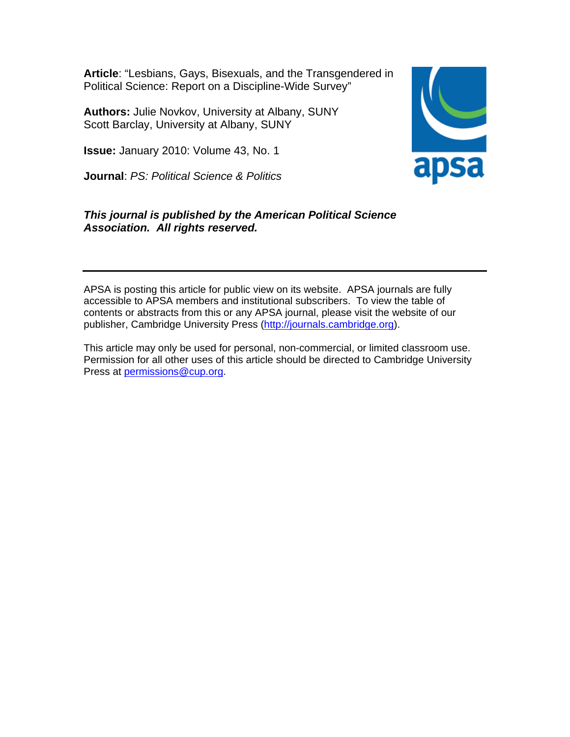**Article**: "Lesbians, Gays, Bisexuals, and the Transgendered in Political Science: Report on a Discipline-Wide Survey"

**Authors:** Julie Novkov, University at Albany, SUNY Scott Barclay, University at Albany, SUNY

**Issue:** January 2010: Volume 43, No. 1

**Journal**: *PS: Political Science & Politics* 

apsa

# *This journal is published by the American Political Science Association. All rights reserved.*

APSA is posting this article for public view on its website. APSA journals are fully accessible to APSA members and institutional subscribers. To view the table of contents or abstracts from this or any APSA journal, please visit the website of our publisher, Cambridge University Press ([http://journals.cambridge.org](http://www.cjonline.com/)).

This article may only be used for personal, non-commercial, or limited classroom use. Permission for all other uses of this article should be directed to Cambridge University Press at [permissions@cup.org.](mailto:permissions@cup.org)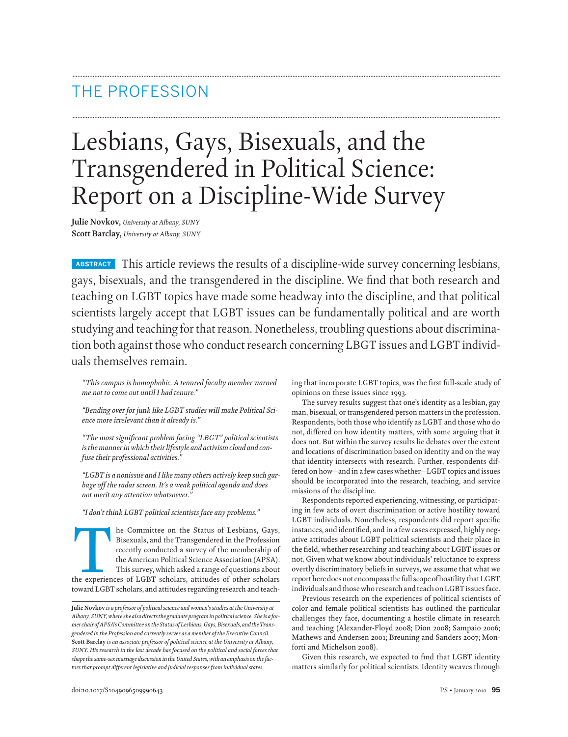# THE PROFESSION

# Lesbians, Gays, Bisexuals, and the Transgendered in Political Science: Report on a Discipline-Wide Survey

**Julie Novkov,** *University at Albany, SUNY* **Scott Barclay,** *University at Albany, SUNY*

**ABSTRACT** This article reviews the results of a discipline-wide survey concerning lesbians, gays, bisexuals, and the transgendered in the discipline. We find that both research and teaching on LGBT topics have made some headway into the discipline, and that political scientists largely accept that LGBT issues can be fundamentally political and are worth studying and teaching for that reason. Nonetheless, troubling questions about discrimination both against those who conduct research concerning LBGT issues and LGBT individuals themselves remain.

**.............................................................................................................................................................................................................................................................**

**.............................................................................................................................................................................................................................................................**

*"This campus is homophobic. A tenured faculty member warned me not to come out until I had tenure."*

*"Bending over for junk like LGBT studies will make Political Science more irrelevant than it already is."*

*"The most significant problem facing "LBGT" political scientists* is the manner in which their lifestyle and activism cloud and con*fuse their professional activities."*

*"LGBT is a nonissue and I like many others actively keep such garbage off the radar screen. It's a weak political agenda and does not merit any attention whatsoever."*

*"I don't think LGBT political scientists face any problems."*

The Committee on the Status of Lesbians, Gays,<br>
Bisexuals, and the Transgendered in the Profession<br>
recently conducted a survey of the membership of<br>
the American Political Science Association (APSA).<br>
This survey, which a Bisexuals, and the Transgendered in the Profession recently conducted a survey of the membership of the American Political Science Association (APSA). This survey, which asked a range of questions about toward LGBT scholars, and attitudes regarding research and teaching that incorporate LGBT topics, was the first full-scale study of opinions on these issues since 1993.

The survey results suggest that one's identity as a lesbian, gay man, bisexual, or transgendered person matters in the profession. Respondents, both those who identify as LGBT and those who do not, differed on how identity matters, with some arguing that it does not. But within the survey results lie debates over the extent and locations of discrimination based on identity and on the way that identity intersects with research. Further, respondents differed on how—and in a few cases whether—LGBT topics and issues should be incorporated into the research, teaching, and service missions of the discipline.

Respondents reported experiencing, witnessing, or participating in few acts of overt discrimination or active hostility toward LGBT individuals. Nonetheless, respondents did report specific instances, and identified, and in a few cases expressed, highly negative attitudes about LGBT political scientists and their place in the field, whether researching and teaching about LGBT issues or not. Given what we know about individuals' reluctance to express overtly discriminatory beliefs in surveys, we assume that what we report here does not encompass the full scope of hostility that LGBT individuals and those who research and teach on LGBT issues face.

Previous research on the experiences of political scientists of color and female political scientists has outlined the particular challenges they face, documenting a hostile climate in research and teaching (Alexander-Floyd 2008; Dion 2008; Sampaio 2006; Mathews and Andersen 2001; Breuning and Sanders 2007; Monforti and Michelson 2008).

Given this research, we expected to find that LGBT identity matters similarly for political scientists. Identity weaves through

**Julie Novkov** *is a professor of political science and women's studies at the University at Albany, SUNY,where she also directs the graduate programin political science. Sheis a former chairofAPSA'sCommitteeon the StatusofLesbians,Gays,Bisexuals,and theTransgendered in the Profession and currently serves as a member of the Executive Council.* **Scott Barclay** *is an associate professor of political science at the University at Albany, SUNY. His research in the last decade has focused on the political and social forces that* shape the same-sex marriage discussion in the United States, with an emphasis on the fac*tors that prompt different legislative and judicial responses from individual states.*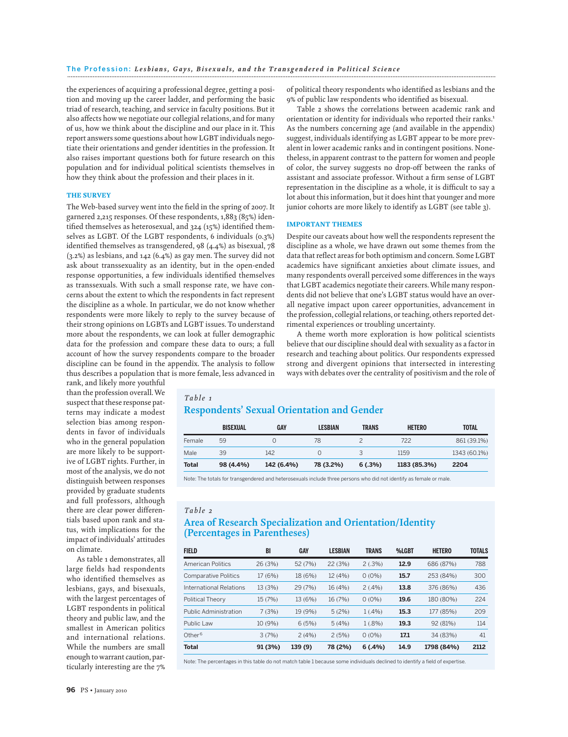the experiences of acquiring a professional degree, getting a position and moving up the career ladder, and performing the basic triad of research, teaching, and service in faculty positions. But it also affects how we negotiate our collegial relations, and for many of us, how we think about the discipline and our place in it. This report answers some questions about how LGBT individuals negotiate their orientations and gender identities in the profession. It also raises important questions both for future research on this population and for individual political scientists themselves in how they think about the profession and their places in it.

#### THE SURVEY

The Web-based survey went into the field in the spring of 2007. It garnered 2,215 responses. Of these respondents, 1,883 (85%) identified themselves as heterosexual, and 324 (15%) identified themselves as LGBT. Of the LGBT respondents, 6 individuals (0.3%) identified themselves as transgendered, 98 (4.4%) as bisexual, 78 (3.2%) as lesbians, and 142 (6.4%) as gay men. The survey did not ask about transsexuality as an identity, but in the open-ended response opportunities, a few individuals identified themselves as transsexuals. With such a small response rate, we have concerns about the extent to which the respondents in fact represent the discipline as a whole. In particular, we do not know whether respondents were more likely to reply to the survey because of their strong opinions on LGBTs and LGBT issues. To understand more about the respondents, we can look at fuller demographic data for the profession and compare these data to ours; a full account of how the survey respondents compare to the broader discipline can be found in the appendix. The analysis to follow thus describes a population that is more female, less advanced in

of political theory respondents who identified as lesbians and the 9% of public law respondents who identified as bisexual.

Table 2 shows the correlations between academic rank and orientation or identity for individuals who reported their ranks.<sup>1</sup> As the numbers concerning age (and available in the appendix) suggest, individuals identifying as LGBT appear to be more prevalent in lower academic ranks and in contingent positions. Nonetheless, in apparent contrast to the pattern for women and people of color, the survey suggests no drop-off between the ranks of assistant and associate professor. Without a firm sense of LGBT representation in the discipline as a whole, it is difficult to say a lot about this information, but it does hint that younger and more junior cohorts are more likely to identify as LGBT (see table 3).

#### IMPORTANT THEMES

Despite our caveats about how well the respondents represent the discipline as a whole, we have drawn out some themes from the data that reflect areas for both optimism and concern. Some LGBT academics have significant anxieties about climate issues, and many respondents overall perceived some differences in the ways that LGBT academics negotiate their careers.While many respondents did not believe that one's LGBT status would have an overall negative impact upon career opportunities, advancement in the profession, collegial relations, or teaching, others reported detrimental experiences or troubling uncertainty.

A theme worth more exploration is how political scientists believe that our discipline should deal with sexuality as a factor in research and teaching about politics. Our respondents expressed strong and divergent opinions that intersected in interesting ways with debates over the centrality of positivism and the role of

rank, and likely more youthful than the profession overall.We suspect that these response patterns may indicate a modest selection bias among respondents in favor of individuals who in the general population are more likely to be supportive of LGBT rights. Further, in most of the analysis, we do not distinguish between responses provided by graduate students and full professors, although there are clear power differentials based upon rank and status, with implications for the impact of individuals' attitudes on climate.

As table 1 demonstrates, all large fields had respondents who identified themselves as lesbians, gays, and bisexuals, with the largest percentages of LGBT respondents in political theory and public law, and the smallest in American politics and international relations. While the numbers are small enough to warrant caution, particularly interesting are the 7%

# *Table 1* **Respondents' Sexual Orientation and Gender**

|        | <b>BISEXUAL</b> | <b>GAY</b> | <b>LESBIAN</b> | <b>TRANS</b> | <b>HETERO</b> | <b>TOTAL</b> |
|--------|-----------------|------------|----------------|--------------|---------------|--------------|
| Female | 59              |            | 78             |              | 722           | 861 (39.1%)  |
| Male   | 39              | 142        |                |              | 1159          | 1343 (60.1%) |
| Total  | 98 (4.4%)       | 142 (6.4%) | 78 (3.2%)      | 6(.3%)       | 1183 (85.3%)  | 2204         |

Note: The totals for transgendered and heterosexuals include three persons who did not identify as female or male.

#### *Table 2*

#### **Area of Research Specialization and Orientation/Identity (Percentages in Parentheses)**

| <b>FIELD</b>                 | BI      | GAY     | <b>LESBIAN</b> | <b>TRANS</b> | %LGBT | <b>HETERO</b> | <b>TOTALS</b> |
|------------------------------|---------|---------|----------------|--------------|-------|---------------|---------------|
| <b>American Politics</b>     | 26 (3%) | 52 (7%) | 22(3%)         | 2(.3%)       | 12.9  | 686 (87%)     | 788           |
| <b>Comparative Politics</b>  | 17(6%)  | 18 (6%) | 12 (4%)        | $0(0\%)$     | 15.7  | 253 (84%)     | 300           |
| International Relations      | 13 (3%) | 29(7%)  | 16 (4%)        | $2(0.4\%)$   | 13.8  | 376 (86%)     | 436           |
| <b>Political Theory</b>      | 15(7%)  | 13 (6%) | 16 (7%)        | $0(0\%)$     | 19.6  | 180 (80%)     | 224           |
| <b>Public Administration</b> | 7(3%)   | 19 (9%) | 5(2%)          | $1(.4\%)$    | 15.3  | 177 (85%)     | 209           |
| Public Law                   | 10 (9%) | 6(5%)   | 5(4%)          | $1(.8\%)$    | 19.3  | 92 (81%)      | 114           |
| Other <sup>6</sup>           | 3(7%)   | 2(4%)   | 2(5%)          | $0(0\%)$     | 17.1  | 34 (83%)      | 41            |
| <b>Total</b>                 | 91 (3%) | 139 (9) | 78 (2%)        | 6(.4%)       | 14.9  | 1798 (84%)    | 2112          |

Note: The percentages in this table do not match table 1 because some individuals declined to identify a field of expertise.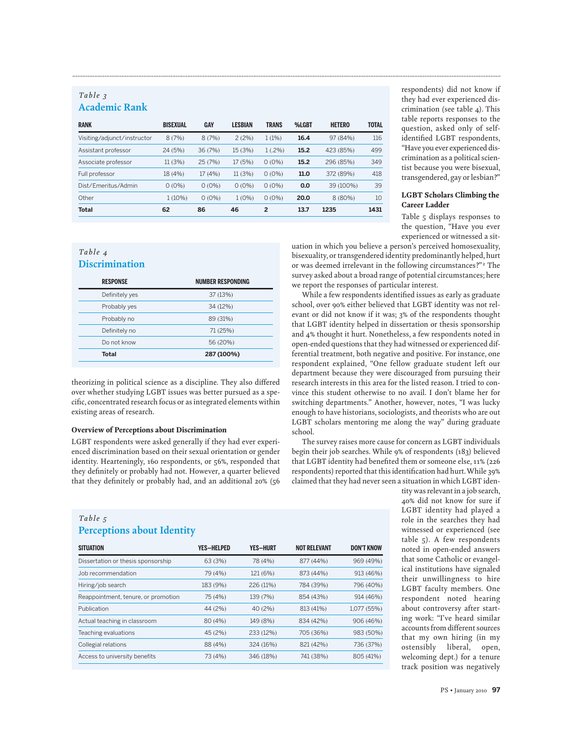# *Table 3* **Academic Rank**

| <b>RANK</b>                 | <b>BISEXUAL</b> | GAY      | <b>LESBIAN</b> | TRANS     | %LGBT | <b>HETERO</b> | <b>TOTAL</b> |
|-----------------------------|-----------------|----------|----------------|-----------|-------|---------------|--------------|
| Visiting/adjunct/instructor | 8(7%)           | 8(7%)    | 2(2%)          | 1(1%)     | 16.4  | 97 (84%)      | 116          |
| Assistant professor         | 24 (5%)         | 36 (7%)  | 15 (3%)        | $1(.2\%)$ | 15.2  | 423 (85%)     | 499          |
| Associate professor         | 11 (3%)         | 25(7%)   | 17 (5%)        | $0(0\%)$  | 15.2  | 296 (85%)     | 349          |
| Full professor              | 18 (4%)         | 17(4%)   | 11(3%)         | $0(0\%)$  | 11.0  | 372 (89%)     | 418          |
| Dist/Emeritus/Admin         | $0(0\%)$        | $0(0\%)$ | $0(0\%)$       | $0(0\%)$  | 0.0   | 39 (100%)     | 39           |
| Other                       | $1(10\%)$       | $0(0\%)$ | $1(0\%)$       | $0(0\%)$  | 20.0  | $8(80\%)$     | 10           |
| <b>Total</b>                | 62              | 86       | 46             | 2         | 13.7  | 1235          | 1431         |

**.............................................................................................................................................................................................................................................................**

*Table 4* **Discrimination**

| <b>RESPONSE</b> | <b>NUMBER RESPONDING</b> |
|-----------------|--------------------------|
| Definitely yes  | 37 (13%)                 |
| Probably yes    | 34 (12%)                 |
| Probably no     | 89 (31%)                 |
| Definitely no   | 71 (25%)                 |
| Do not know     | 56 (20%)                 |
| <b>Total</b>    | 287 (100%)               |

theorizing in political science as a discipline. They also differed over whether studying LGBT issues was better pursued as a specific, concentrated research focus or as integrated elements within existing areas of research.

#### Overview of Perceptions about Discrimination

LGBT respondents were asked generally if they had ever experienced discrimination based on their sexual orientation or gender identity. Hearteningly, 160 respondents, or 56%, responded that they definitely or probably had not. However, a quarter believed that they definitely or probably had, and an additional 20% (56

## *Table 5* **Perceptions about Identity**

| <b>SITUATION</b>                    | <b>YES-HELPED</b> | <b>YES-HURT</b> | <b>NOT RELEVANT</b> | <b>DON'T KNOW</b> |
|-------------------------------------|-------------------|-----------------|---------------------|-------------------|
| Dissertation or thesis sponsorship  | 63 (3%)           | 78 (4%)         | 877 (44%)           | 969 (49%)         |
| Job recommendation                  | 79 (4%)           | 121 (6%)        | 873 (44%)           | 913 (46%)         |
| Hiring/job search                   | 183 (9%)          | 226 (11%)       | 784 (39%)           | 796 (40%)         |
| Reappointment, tenure, or promotion | 75 (4%)           | 139 (7%)        | 854 (43%)           | 914 (46%)         |
| Publication                         | 44 (2%)           | 40 (2%)         | 813 (41%)           | 1,077 (55%)       |
| Actual teaching in classroom        | 80 (4%)           | 149 (8%)        | 834 (42%)           | 906 (46%)         |
| Teaching evaluations                | 45 (2%)           | 233 (12%)       | 705 (36%)           | 983 (50%)         |
| Collegial relations                 | 88 (4%)           | 324 (16%)       | 821 (42%)           | 736 (37%)         |
| Access to university benefits       | 73 (4%)           | 346 (18%)       | 741 (38%)           | 805 (41%)         |

respondents) did not know if they had ever experienced discrimination (see table 4). This table reports responses to the question, asked only of selfidentified LGBT respondents, "Have you ever experienced discrimination as a political scientist because you were bisexual, transgendered, gay or lesbian?"

#### LGBT Scholars Climbing the Career Ladder

Table 5 displays responses to the question, "Have you ever experienced or witnessed a sit-

uation in which you believe a person's perceived homosexuality, bisexuality, or transgendered identity predominantly helped, hurt or was deemed irrelevant in the following circumstances?"<sup>2</sup> The survey asked about a broad range of potential circumstances; here we report the responses of particular interest.

While a few respondents identified issues as early as graduate school, over 90% either believed that LGBT identity was not relevant or did not know if it was; 3% of the respondents thought that LGBT identity helped in dissertation or thesis sponsorship and 4% thought it hurt. Nonetheless, a few respondents noted in open-ended questions that they had witnessed or experienced differential treatment, both negative and positive. For instance, one respondent explained, "One fellow graduate student left our department because they were discouraged from pursuing their research interests in this area for the listed reason. I tried to convince this student otherwise to no avail. I don't blame her for switching departments." Another, however, notes, "I was lucky enough to have historians, sociologists, and theorists who are out LGBT scholars mentoring me along the way" during graduate school.

The survey raises more cause for concern as LGBT individuals begin their job searches. While 9% of respondents (183) believed that LGBT identity had benefited them or someone else, 11% (226 respondents) reported that this identification had hurt.While 39% claimed that they had never seen a situation in which LGBT iden-

> tity was relevant in a job search, 40% did not know for sure if LGBT identity had played a role in the searches they had witnessed or experienced (see table 5). A few respondents noted in open-ended answers that some Catholic or evangelical institutions have signaled their unwillingness to hire LGBT faculty members. One respondent noted hearing about controversy after starting work: "I've heard similar accounts from different sources that my own hiring (in my ostensibly liberal, open, welcoming dept.) for a tenure track position was negatively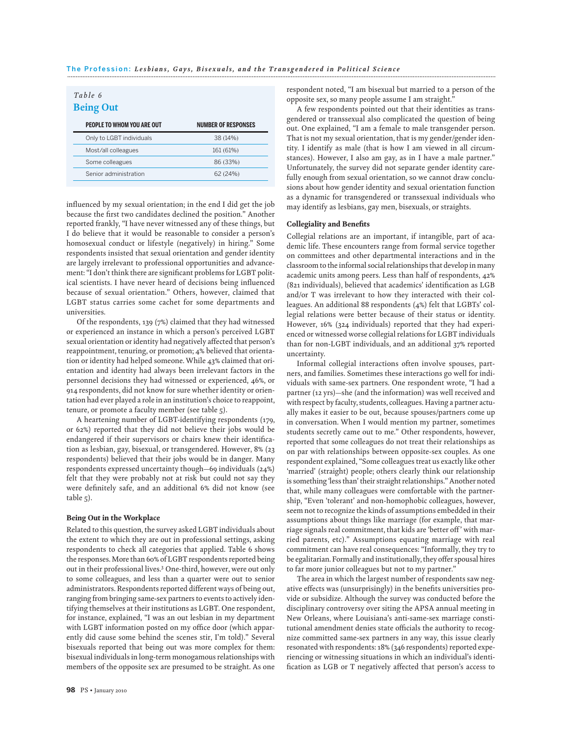#### *Table 6* **Being Out**

| <b>PEOPLE TO WHOM YOU ARE OUT</b> | <b>NUMBER OF RESPONSES</b> |
|-----------------------------------|----------------------------|
| Only to LGBT individuals          | 38 (14%)                   |
| Most/all colleagues               | 161 (61%)                  |
| Some colleagues                   | 86 (33%)                   |
| Senior administration             | 62 (24%)                   |

influenced by my sexual orientation; in the end I did get the job because the first two candidates declined the position." Another reported frankly, "I have never witnessed any of these things, but I do believe that it would be reasonable to consider a person's homosexual conduct or lifestyle (negatively) in hiring." Some respondents insisted that sexual orientation and gender identity are largely irrelevant to professional opportunities and advancement: "I don't think there are significant problems for LGBT political scientists. I have never heard of decisions being influenced because of sexual orientation." Others, however, claimed that LGBT status carries some cachet for some departments and universities.

Of the respondents, 139 (7%) claimed that they had witnessed or experienced an instance in which a person's perceived LGBT sexual orientation or identity had negatively affected that person's reappointment, tenuring, or promotion; 4% believed that orientation or identity had helped someone.While 43% claimed that orientation and identity had always been irrelevant factors in the personnel decisions they had witnessed or experienced, 46%, or 914 respondents, did not know for sure whether identity or orientation had ever played a role in an institution's choice to reappoint, tenure, or promote a faculty member (see table 5).

A heartening number of LGBT-identifying respondents (179, or 62%) reported that they did not believe their jobs would be endangered if their supervisors or chairs knew their identification as lesbian, gay, bisexual, or transgendered. However, 8% (23 respondents) believed that their jobs would be in danger. Many respondents expressed uncertainty though—69 individuals (24%) felt that they were probably not at risk but could not say they were definitely safe, and an additional 6% did not know (see table 5).

#### Being Out in the Workplace

Related to this question, the survey asked LGBT individuals about the extent to which they are out in professional settings, asking respondents to check all categories that applied. Table 6 shows the responses.More than 60% of LGBT respondents reported being out in their professional lives.3 One-third, however, were out only to some colleagues, and less than a quarter were out to senior administrators. Respondents reported different ways of being out, ranging from bringing same-sex partners to events to actively identifying themselves at their institutions as LGBT. One respondent, for instance, explained, "I was an out lesbian in my department with LGBT information posted on my office door (which apparently did cause some behind the scenes stir, I'm told)." Several bisexuals reported that being out was more complex for them: bisexual individuals in long-term monogamous relationships with members of the opposite sex are presumed to be straight. As one

respondent noted, "I am bisexual but married to a person of the opposite sex, so many people assume I am straight."

A few respondents pointed out that their identities as transgendered or transsexual also complicated the question of being out. One explained, "I am a female to male transgender person. That is not my sexual orientation, that is my gender/gender identity. I identify as male (that is how I am viewed in all circumstances). However, I also am gay, as in I have a male partner." Unfortunately, the survey did not separate gender identity carefully enough from sexual orientation, so we cannot draw conclusions about how gender identity and sexual orientation function as a dynamic for transgendered or transsexual individuals who may identify as lesbians, gay men, bisexuals, or straights.

#### Collegiality and Benefits

Collegial relations are an important, if intangible, part of academic life. These encounters range from formal service together on committees and other departmental interactions and in the classroom to the informal social relationships that develop in many academic units among peers. Less than half of respondents, 42% (821 individuals), believed that academics' identification as LGB and/or T was irrelevant to how they interacted with their colleagues. An additional 88 respondents (4%) felt that LGBTs' collegial relations were better because of their status or identity. However, 16% (324 individuals) reported that they had experienced or witnessed worse collegial relations for LGBT individuals than for non-LGBT individuals, and an additional 37% reported uncertainty.

Informal collegial interactions often involve spouses, partners, and families. Sometimes these interactions go well for individuals with same-sex partners. One respondent wrote, "I had a partner (12 yrs)—she (and the information) was well received and with respect by faculty, students, colleagues. Having a partner actually makes it easier to be out, because spouses/partners come up in conversation. When I would mention my partner, sometimes students secretly came out to me." Other respondents, however, reported that some colleagues do not treat their relationships as on par with relationships between opposite-sex couples. As one respondent explained, "Some colleagues treat us exactly like other 'married' (straight) people; others clearly think our relationship is something 'less than' their straight relationships." Another noted that, while many colleagues were comfortable with the partnership, "Even 'tolerant' and non-homophobic colleagues, however, seem not to recognize the kinds of assumptions embedded in their assumptions about things like marriage (for example, that marriage signals real commitment, that kids are 'better off ' with married parents, etc)." Assumptions equating marriage with real commitment can have real consequences: "Informally, they try to be egalitarian. Formally and institutionally, they offer spousal hires to far more junior colleagues but not to my partner."

The area in which the largest number of respondents saw negative effects was (unsurprisingly) in the benefits universities provide or subsidize. Although the survey was conducted before the disciplinary controversy over siting the APSA annual meeting in New Orleans, where Louisiana's anti-same-sex marriage constitutional amendment denies state officials the authority to recognize committed same-sex partners in any way, this issue clearly resonated with respondents: 18% (346 respondents) reported experiencing or witnessing situations in which an individual's identification as LGB or T negatively affected that person's access to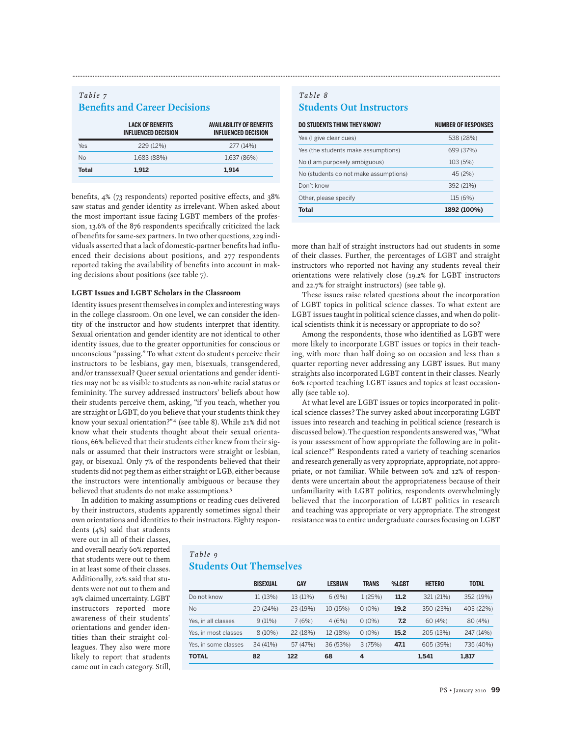| <b>Benefits and Career Decisions</b> |                                                       |                                                               |  |  |
|--------------------------------------|-------------------------------------------------------|---------------------------------------------------------------|--|--|
|                                      | <b>LACK OF BENEFITS</b><br><b>INFLUENCED DECISION</b> | <b>AVAILABILITY OF BENEFITS</b><br><b>INFLUENCED DECISION</b> |  |  |
| Yes                                  | 229 (12%)                                             | 277 (14%)                                                     |  |  |
| <b>No</b>                            | 1,683 (88%)                                           | 1,637 (86%)                                                   |  |  |
| Total                                | 1.912                                                 | 1.914                                                         |  |  |

*Table 7*

benefits, 4% (73 respondents) reported positive effects, and 38% saw status and gender identity as irrelevant. When asked about the most important issue facing LGBT members of the profession, 13.6% of the 876 respondents specifically criticized the lack of benefits for same-sex partners. In two other questions, 229 individuals asserted that a lack of domestic-partner benefits had influenced their decisions about positions, and 277 respondents reported taking the availability of benefits into account in making decisions about positions (see table 7).

#### LGBT Issues and LGBT Scholars in the Classroom

Identity issues present themselves in complex and interesting ways in the college classroom. On one level, we can consider the identity of the instructor and how students interpret that identity. Sexual orientation and gender identity are not identical to other identity issues, due to the greater opportunities for conscious or unconscious "passing." To what extent do students perceive their instructors to be lesbians, gay men, bisexuals, transgendered, and/or transsexual? Queer sexual orientations and gender identities may not be as visible to students as non-white racial status or femininity. The survey addressed instructors' beliefs about how their students perceive them, asking, "if you teach, whether you are straight or LGBT, do you believe that your students think they know your sexual orientation?"<sup>4</sup> (see table 8). While 21% did not know what their students thought about their sexual orientations, 66% believed that their students either knew from their signals or assumed that their instructors were straight or lesbian, gay, or bisexual. Only 7% of the respondents believed that their students did not peg them as either straight or LGB, either because the instructors were intentionally ambiguous or because they believed that students do not make assumptions.<sup>5</sup>

In addition to making assumptions or reading cues delivered by their instructors, students apparently sometimes signal their own orientations and identities to their instructors. Eighty respon-

#### *Table 8* **Students Out Instructors**

**.............................................................................................................................................................................................................................................................**

| <b>DO STUDENTS THINK THEY KNOW?</b>   | <b>NUMBER OF RESPONSES</b> |
|---------------------------------------|----------------------------|
| Yes (I give clear cues)               | 538 (28%)                  |
| Yes (the students make assumptions)   | 699 (37%)                  |
| No (I am purposely ambiguous)         | 103 (5%)                   |
| No (students do not make assumptions) | 45 (2%)                    |
| Don't know                            | 392 (21%)                  |
| Other, please specify                 | 115 (6%)                   |
| Total                                 | 1892 (100%)                |

more than half of straight instructors had out students in some of their classes. Further, the percentages of LGBT and straight instructors who reported not having any students reveal their orientations were relatively close (19.2% for LGBT instructors and 22.7% for straight instructors) (see table 9).

These issues raise related questions about the incorporation of LGBT topics in political science classes. To what extent are LGBT issues taught in political science classes, and when do political scientists think it is necessary or appropriate to do so?

Among the respondents, those who identified as LGBT were more likely to incorporate LGBT issues or topics in their teaching, with more than half doing so on occasion and less than a quarter reporting never addressing any LGBT issues. But many straights also incorporated LGBT content in their classes. Nearly 60% reported teaching LGBT issues and topics at least occasionally (see table 10).

At what level are LGBT issues or topics incorporated in political science classes? The survey asked about incorporating LGBT issues into research and teaching in political science (research is discussed below).The question respondents answered was, "What is your assessment of how appropriate the following are in political science?" Respondents rated a variety of teaching scenarios and research generally as very appropriate, appropriate, not appropriate, or not familiar. While between 10% and 12% of respondents were uncertain about the appropriateness because of their unfamiliarity with LGBT politics, respondents overwhelmingly believed that the incorporation of LGBT politics in research and teaching was appropriate or very appropriate. The strongest resistance was to entire undergraduate courses focusing on LGBT

dents (4%) said that students were out in all of their classes, and overall nearly 60% reported that students were out to them in at least some of their classes. Additionally, 22% said that students were not out to them and 19% claimed uncertainty. LGBT instructors reported more awareness of their students' orientations and gender identities than their straight colleagues. They also were more likely to report that students came out in each category. Still,

# *Table 9*

# **Students Out Themselves**

|                      | <b>BISEXUAL</b> | GAY      | <b>LESBIAN</b> | TRANS    | %LGBT | <b>HETERO</b> | <b>TOTAL</b> |
|----------------------|-----------------|----------|----------------|----------|-------|---------------|--------------|
| Do not know          | 11 (13%)        | 13 (11%) | 6(9%)          | 1(25%)   | 11.2  | 321 (21%)     | 352 (19%)    |
| <b>No</b>            | 20 (24%)        | 23 (19%) | 10 (15%)       | $0(0\%)$ | 19.2  | 350 (23%)     | 403 (22%)    |
| Yes, in all classes  | 9(11%)          | 7(6%)    | 4(6%)          | $0(0\%)$ | 7.2   | 60(4%)        | 80 (4%)      |
| Yes, in most classes | $8(10\%)$       | 22 (18%) | 12 (18%)       | $0(0\%)$ | 15.2  | 205 (13%)     | 247 (14%)    |
| Yes, in some classes | 34 (41%)        | 57 (47%) | 36 (53%)       | 3(75%)   | 47.1  | 605 (39%)     | 735 (40%)    |
| <b>TOTAL</b>         | 82              | 122      | 68             | 4        |       | 1,541         | 1,817        |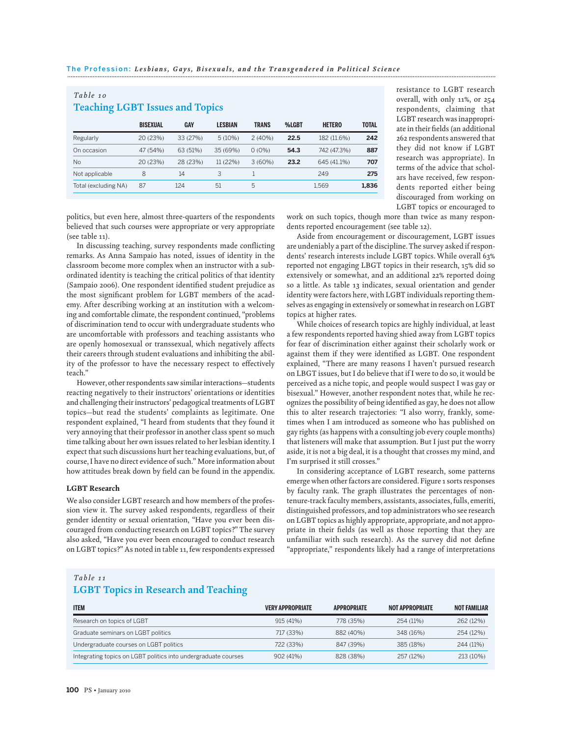| Table 10<br><b>Teaching LGBT Issues and Topics</b> |                 |          |                |              |       |               |              |
|----------------------------------------------------|-----------------|----------|----------------|--------------|-------|---------------|--------------|
|                                                    | <b>BISEXUAL</b> | GAY      | <b>LESBIAN</b> | <b>TRANS</b> | %LGBT | <b>HETERO</b> | <b>TOTAL</b> |
| Regularly                                          | 20 (23%)        | 33 (27%) | 5(10%)         | 2(40%)       | 22.5  | 182 (11.6%)   | 242          |
| On occasion                                        | 47 (54%)        | 63 (51%) | 35 (69%)       | $0(0\%)$     | 54.3  | 742 (47.3%)   | 887          |
| <b>No</b>                                          | 20 (23%)        | 28 (23%) | 11 (22%)       | 3(60%)       | 23.2  | 645 (41.1%)   | 707          |
| Not applicable                                     | 8               | 14       | 3              |              |       | 249           | 275          |
| Total (excluding NA)                               | 87              | 124      | 51             | 5            |       | 1.569         | 1.836        |

resistance to LGBT research overall, with only 11%, or 254 respondents, claiming that LGBT research was inappropriate in their fields (an additional 262 respondents answered that they did not know if LGBT research was appropriate). In terms of the advice that scholars have received, few respondents reported either being discouraged from working on LGBT topics or encouraged to

politics, but even here, almost three-quarters of the respondents believed that such courses were appropriate or very appropriate (see table 11).

In discussing teaching, survey respondents made conflicting remarks. As Anna Sampaio has noted, issues of identity in the classroom become more complex when an instructor with a subordinated identity is teaching the critical politics of that identity (Sampaio 2006). One respondent identified student prejudice as the most significant problem for LGBT members of the academy. After describing working at an institution with a welcoming and comfortable climate, the respondent continued, "problems of discrimination tend to occur with undergraduate students who are uncomfortable with professors and teaching assistants who are openly homosexual or transsexual, which negatively affects their careers through student evaluations and inhibiting the ability of the professor to have the necessary respect to effectively teach."

However, other respondents saw similar interactions—students reacting negatively to their instructors' orientations or identities and challenging their instructors' pedagogical treatments of LGBT topics—but read the students' complaints as legitimate. One respondent explained, "I heard from students that they found it very annoying that their professor in another class spent so much time talking about her own issues related to her lesbian identity. I expect that such discussions hurt her teaching evaluations, but, of course, I have no direct evidence of such." More information about how attitudes break down by field can be found in the appendix.

#### LGBT Research

We also consider LGBT research and how members of the profession view it. The survey asked respondents, regardless of their gender identity or sexual orientation, "Have you ever been discouraged from conducting research on LGBT topics?" The survey also asked, "Have you ever been encouraged to conduct research on LGBT topics?" As noted in table 11, few respondents expressed

work on such topics, though more than twice as many respondents reported encouragement (see table 12).

Aside from encouragement or discouragement, LGBT issues are undeniably a part of the discipline. The survey asked if respondents' research interests include LGBT topics. While overall 63% reported not engaging LBGT topics in their research, 15% did so extensively or somewhat, and an additional 22% reported doing so a little. As table 13 indicates, sexual orientation and gender identity were factors here, with LGBT individuals reporting themselves as engaging in extensively or somewhat in research on LGBT topics at higher rates.

While choices of research topics are highly individual, at least a few respondents reported having shied away from LGBT topics for fear of discrimination either against their scholarly work or against them if they were identified as LGBT. One respondent explained, "There are many reasons I haven't pursued research on LBGT issues, but I do believe that if I were to do so, it would be perceived as a niche topic, and people would suspect I was gay or bisexual." However, another respondent notes that, while he recognizes the possibility of being identified as gay, he does not allow this to alter research trajectories: "I also worry, frankly, sometimes when I am introduced as someone who has published on gay rights (as happens with a consulting job every couple months) that listeners will make that assumption. But I just put the worry aside, it is not a big deal, it is a thought that crosses my mind, and I'm surprised it still crosses."

In considering acceptance of LGBT research, some patterns emerge when other factors are considered. Figure 1 sorts responses by faculty rank. The graph illustrates the percentages of nontenure-track faculty members, assistants, associates, fulls, emeriti, distinguished professors, and top administrators who see research on LGBT topics as highly appropriate, appropriate, and not appropriate in their fields (as well as those reporting that they are unfamiliar with such research). As the survey did not define "appropriate," respondents likely had a range of interpretations

#### *Table 11* **LGBT Topics in Research and Teaching**

| <b>ITEM</b>                                                    | <b>VERY APPROPRIATE</b> | <b>APPROPRIATE</b> | <b>NOT APPROPRIATE</b> | <b>NOT FAMILIAR</b> |
|----------------------------------------------------------------|-------------------------|--------------------|------------------------|---------------------|
| Research on topics of LGBT                                     | 915 (41%)               | 778 (35%)          | 254 (11%)              | 262 (12%)           |
| Graduate seminars on LGBT politics                             | 717 (33%)               | 882 (40%)          | 348 (16%)              | 254 (12%)           |
| Undergraduate courses on LGBT politics                         | 722 (33%)               | 847 (39%)          | 385 (18%)              | 244 (11%)           |
| Integrating topics on LGBT politics into undergraduate courses | 902(41%)                | 828 (38%)          | 257 (12%)              | 213 (10%)           |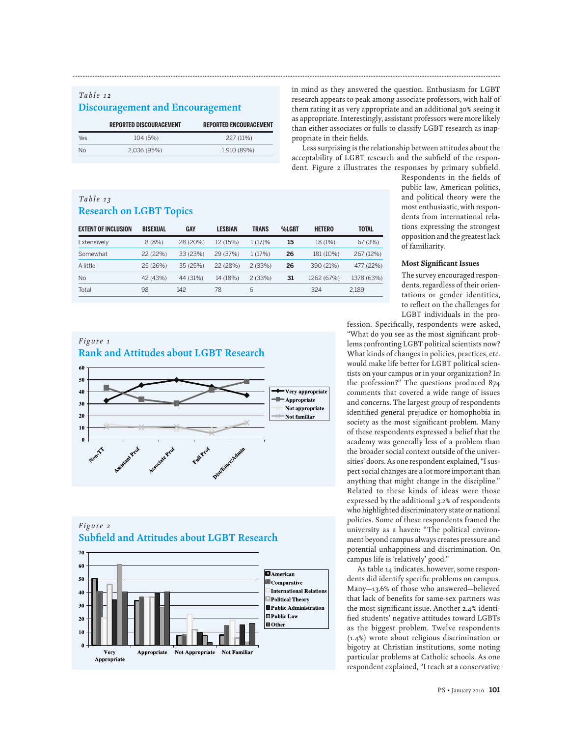# *Table 12* **Discouragement and Encouragement**

|     | <b>REPORTED DISCOURAGEMENT</b> | <b>REPORTED ENCOURAGEMENT</b> |
|-----|--------------------------------|-------------------------------|
| Yes | 104 (5%)                       | 227 (11%)                     |
| Nο  | 2,036 (95%)                    | 1,910 (89%)                   |

## *Table 13* **Research on LGBT Topics**

| <b>EXTENT OF INCLUSION</b> | <b>BISEXUAL</b> | GAY      | LESBIAN  | <b>TRANS</b> | %LGBT | <b>HETERO</b> | <b>TOTAL</b> |
|----------------------------|-----------------|----------|----------|--------------|-------|---------------|--------------|
| Extensively                | 8(8%)           | 28 (20%) | 12 (15%) | 1(17)%       | 15    | 18 (1%)       | 67(3%)       |
| Somewhat                   | 22 (22%)        | 33 (23%) | 29 (37%) | 1(17%)       | 26    | 181 (10%)     | 267 (12%)    |
| A little                   | 25 (26%)        | 35 (25%) | 22 (28%) | 2(33%)       | 26    | 390 (21%)     | 477 (22%)    |
| <b>No</b>                  | 42 (43%)        | 44 (31%) | 14 (18%) | 2(33%)       | 31    | 1262 (67%)    | 1378 (63%)   |
| Total                      | 98              | 142      | 78       | 6            |       | 324           | 2,189        |

**.............................................................................................................................................................................................................................................................**

### *Figure 1* **Rank and Attitudes about LGBT Research**



# *Figure 2* **Subfield and Attitudes about LGBT Research**



in mind as they answered the question. Enthusiasm for LGBT research appears to peak among associate professors, with half of them rating it as very appropriate and an additional 30% seeing it as appropriate. Interestingly, assistant professors were more likely than either associates or fulls to classify LGBT research as inappropriate in their fields.

Less surprising is the relationship between attitudes about the acceptability of LGBT research and the subfield of the respondent. Figure 2 illustrates the responses by primary subfield.

Respondents in the fields of public law, American politics, and political theory were the most enthusiastic, with respondents from international relations expressing the strongest opposition and the greatest lack of familiarity.

#### Most Significant Issues

The survey encouraged respondents, regardless of their orientations or gender identities, to reflect on the challenges for LGBT individuals in the pro-

fession. Specifically, respondents were asked, "What do you see as the most significant problems confronting LGBT political scientists now? What kinds of changes in policies, practices, etc. would make life better for LGBT political scientists on your campus or in your organization? In the profession?" The questions produced 874 comments that covered a wide range of issues and concerns. The largest group of respondents identified general prejudice or homophobia in society as the most significant problem. Many of these respondents expressed a belief that the academy was generally less of a problem than the broader social context outside of the universities' doors. As one respondent explained, "I suspect social changes are a lot more important than anything that might change in the discipline." Related to these kinds of ideas were those expressed by the additional 3.2% of respondents who highlighted discriminatory state or national policies. Some of these respondents framed the university as a haven: "The political environment beyond campus always creates pressure and potential unhappiness and discrimination. On campus life is 'relatively' good."

As table 14 indicates, however, some respondents did identify specific problems on campus. Many—13.6% of those who answered—believed that lack of benefits for same-sex partners was the most significant issue. Another 2.4% identified students' negative attitudes toward LGBTs as the biggest problem. Twelve respondents (1.4%) wrote about religious discrimination or bigotry at Christian institutions, some noting particular problems at Catholic schools. As one respondent explained, "I teach at a conservative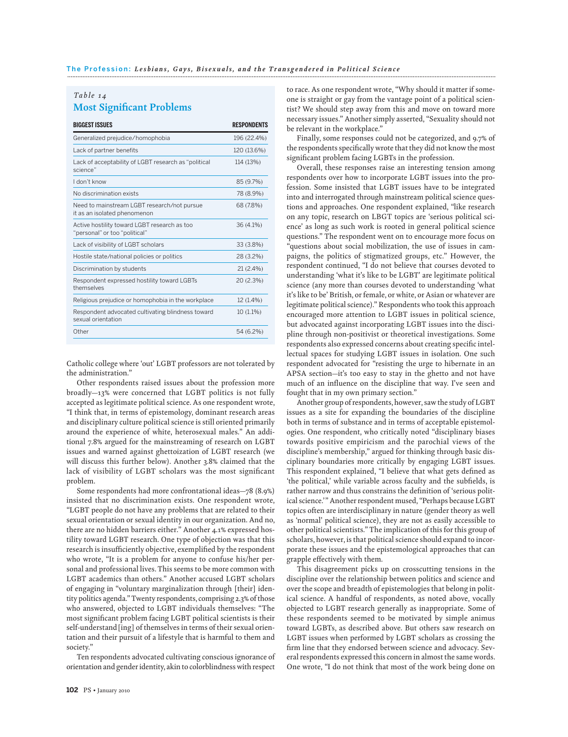#### *Table 14* **Most Significant Problems**

| <b>BIGGEST ISSUES</b>                                                         | <b>RESPONDENTS</b> |
|-------------------------------------------------------------------------------|--------------------|
| Generalized prejudice/homophobia                                              | 196 (22.4%)        |
| Lack of partner benefits                                                      | 120 (13.6%)        |
| Lack of acceptability of LGBT research as "political<br>science"              | 114 (13%)          |
| I don't know                                                                  | 85 (9.7%)          |
| No discrimination exists                                                      | 78 (8.9%)          |
| Need to mainstream LGBT research/not pursue<br>it as an isolated phenomenon   | 68 (7.8%)          |
| Active hostility toward LGBT research as too<br>"personal" or too "political" | $36(4.1\%)$        |
| Lack of visibility of LGBT scholars                                           | 33 (3.8%)          |
| Hostile state/national policies or politics                                   | 28 (3.2%)          |
| Discrimination by students                                                    | $21(2.4\%)$        |
| Respondent expressed hostility toward LGBTs<br>themselves                     | 20 (2.3%)          |
| Religious prejudice or homophobia in the workplace                            | 12 (1.4%)          |
| Respondent advocated cultivating blindness toward<br>sexual orientation       | $10(1.1\%)$        |
| Other                                                                         | 54 (6.2%)          |
|                                                                               |                    |

Catholic college where 'out' LGBT professors are not tolerated by the administration."

Other respondents raised issues about the profession more broadly—13% were concerned that LGBT politics is not fully accepted as legitimate political science. As one respondent wrote, "I think that, in terms of epistemology, dominant research areas and disciplinary culture political science is still oriented primarily around the experience of white, heterosexual males." An additional 7.8% argued for the mainstreaming of research on LGBT issues and warned against ghettoization of LGBT research (we will discuss this further below). Another 3.8% claimed that the lack of visibility of LGBT scholars was the most significant problem.

Some respondents had more confrontational ideas—78 (8.9%) insisted that no discrimination exists. One respondent wrote, "LGBT people do not have any problems that are related to their sexual orientation or sexual identity in our organization. And no, there are no hidden barriers either." Another 4.1% expressed hostility toward LGBT research. One type of objection was that this research is insufficiently objective, exemplified by the respondent who wrote, "It is a problem for anyone to confuse his/her personal and professional lives. This seems to be more common with LGBT academics than others." Another accused LGBT scholars of engaging in "voluntary marginalization through [their] identity politics agenda."Twenty respondents, comprising 2.3% of those who answered, objected to LGBT individuals themselves: "The most significant problem facing LGBT political scientists is their self-understand[ing] of themselves in terms of their sexual orientation and their pursuit of a lifestyle that is harmful to them and society."

Ten respondents advocated cultivating conscious ignorance of orientation and gender identity, akin to colorblindness with respect

to race. As one respondent wrote, "Why should it matter if someone is straight or gay from the vantage point of a political scientist? We should step away from this and move on toward more necessary issues." Another simply asserted, "Sexuality should not be relevant in the workplace."

Finally, some responses could not be categorized, and 9.7% of the respondents specifically wrote that they did not know the most significant problem facing LGBTs in the profession.

Overall, these responses raise an interesting tension among respondents over how to incorporate LGBT issues into the profession. Some insisted that LGBT issues have to be integrated into and interrogated through mainstream political science questions and approaches. One respondent explained, "like research on any topic, research on LBGT topics are 'serious political science' as long as such work is rooted in general political science questions." The respondent went on to encourage more focus on "questions about social mobilization, the use of issues in campaigns, the politics of stigmatized groups, etc." However, the respondent continued, "I do not believe that courses devoted to understanding 'what it's like to be LGBT' are legitimate political science (any more than courses devoted to understanding 'what it's like to be' British, or female, or white, or Asian or whatever are legitimate political science)." Respondents who took this approach encouraged more attention to LGBT issues in political science, but advocated against incorporating LGBT issues into the discipline through non-positivist or theoretical investigations. Some respondents also expressed concerns about creating specific intellectual spaces for studying LGBT issues in isolation. One such respondent advocated for "resisting the urge to hibernate in an APSA section—it's too easy to stay in the ghetto and not have much of an influence on the discipline that way. I've seen and fought that in my own primary section."

Another group of respondents, however, saw the study of LGBT issues as a site for expanding the boundaries of the discipline both in terms of substance and in terms of acceptable epistemologies. One respondent, who critically noted "disciplinary biases towards positive empiricism and the parochial views of the discipline's membership," argued for thinking through basic disciplinary boundaries more critically by engaging LGBT issues. This respondent explained, "I believe that what gets defined as 'the political,' while variable across faculty and the subfields, is rather narrow and thus constrains the definition of 'serious political science.'" Another respondent mused, "Perhaps because LGBT topics often are interdisciplinary in nature (gender theory as well as 'normal' political science), they are not as easily accessible to other political scientists." The implication of this for this group of scholars, however, is that political science should expand to incorporate these issues and the epistemological approaches that can grapple effectively with them.

This disagreement picks up on crosscutting tensions in the discipline over the relationship between politics and science and over the scope and breadth of epistemologies that belong in political science. A handful of respondents, as noted above, vocally objected to LGBT research generally as inappropriate. Some of these respondents seemed to be motivated by simple animus toward LGBTs, as described above. But others saw research on LGBT issues when performed by LGBT scholars as crossing the firm line that they endorsed between science and advocacy. Several respondents expressed this concern in almost the same words. One wrote, "I do not think that most of the work being done on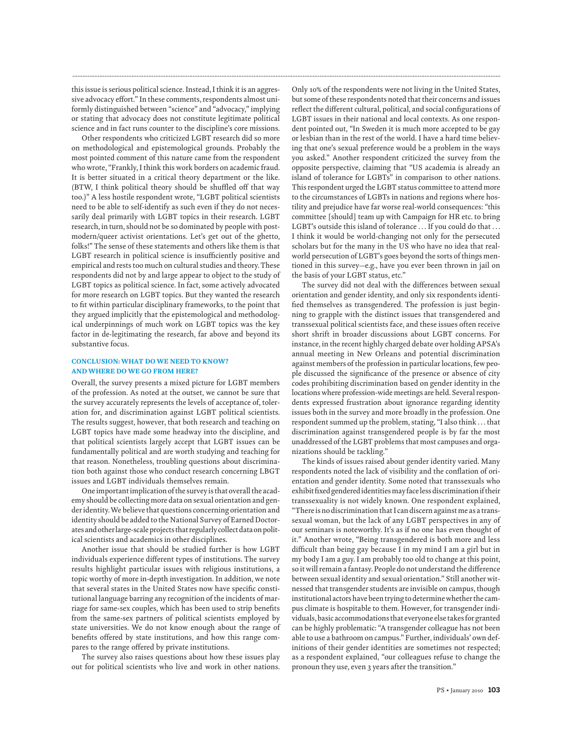this issue is serious political science. Instead, I think it is an aggressive advocacy effort." In these comments, respondents almost uniformly distinguished between "science" and "advocacy," implying or stating that advocacy does not constitute legitimate political science and in fact runs counter to the discipline's core missions.

**.............................................................................................................................................................................................................................................................**

Other respondents who criticized LGBT research did so more on methodological and epistemological grounds. Probably the most pointed comment of this nature came from the respondent who wrote, "Frankly, I think this work borders on academic fraud. It is better situated in a critical theory department or the like. (BTW, I think political theory should be shuffled off that way too.)" A less hostile respondent wrote, "LGBT political scientists need to be able to self-identify as such even if they do not necessarily deal primarily with LGBT topics in their research. LGBT research, in turn, should not be so dominated by people with postmodern/queer activist orientations. Let's get out of the ghetto, folks!" The sense of these statements and others like them is that LGBT research in political science is insufficiently positive and empirical and rests too much on cultural studies and theory. These respondents did not by and large appear to object to the study of LGBT topics as political science. In fact, some actively advocated for more research on LGBT topics. But they wanted the research to fit within particular disciplinary frameworks, to the point that they argued implicitly that the epistemological and methodological underpinnings of much work on LGBT topics was the key factor in de-legitimating the research, far above and beyond its substantive focus.

#### CONCLUSION: WHAT DO WE NEED TO KNOW? AND WHERE DO WE GO FROM HERE?

Overall, the survey presents a mixed picture for LGBT members of the profession. As noted at the outset, we cannot be sure that the survey accurately represents the levels of acceptance of, toleration for, and discrimination against LGBT political scientists. The results suggest, however, that both research and teaching on LGBT topics have made some headway into the discipline, and that political scientists largely accept that LGBT issues can be fundamentally political and are worth studying and teaching for that reason. Nonetheless, troubling questions about discrimination both against those who conduct research concerning LBGT issues and LGBT individuals themselves remain.

One important implication of the survey is that overall the academy should be collecting more data on sexual orientation and gender identity.We believe that questions concerning orientation and identity should be added to the National Survey of Earned Doctorates and other large-scale projects that regularly collect data on political scientists and academics in other disciplines.

Another issue that should be studied further is how LGBT individuals experience different types of institutions. The survey results highlight particular issues with religious institutions, a topic worthy of more in-depth investigation. In addition, we note that several states in the United States now have specific constitutional language barring any recognition of the incidents of marriage for same-sex couples, which has been used to strip benefits from the same-sex partners of political scientists employed by state universities. We do not know enough about the range of benefits offered by state institutions, and how this range compares to the range offered by private institutions.

The survey also raises questions about how these issues play out for political scientists who live and work in other nations.

Only 10% of the respondents were not living in the United States, but some of these respondents noted that their concerns and issues reflect the different cultural, political, and social configurations of LGBT issues in their national and local contexts. As one respondent pointed out, "In Sweden it is much more accepted to be gay or lesbian than in the rest of the world. I have a hard time believing that one's sexual preference would be a problem in the ways you asked." Another respondent criticized the survey from the opposite perspective, claiming that "US academia is already an island of tolerance for LGBTs" in comparison to other nations. This respondent urged the LGBT status committee to attend more to the circumstances of LGBTs in nations and regions where hostility and prejudice have far worse real-world consequences: "this committee [should] team up with Campaign for HR etc. to bring LGBT's outside this island of tolerance ... If you could do that ... I think it would be world-changing not only for the persecuted scholars but for the many in the US who have no idea that realworld persecution of LGBT's goes beyond the sorts of things mentioned in this survey—e.g., have you ever been thrown in jail on the basis of your LGBT status, etc."

The survey did not deal with the differences between sexual orientation and gender identity, and only six respondents identified themselves as transgendered. The profession is just beginning to grapple with the distinct issues that transgendered and transsexual political scientists face, and these issues often receive short shrift in broader discussions about LGBT concerns. For instance, in the recent highly charged debate over holding APSA's annual meeting in New Orleans and potential discrimination against members of the profession in particular locations, few people discussed the significance of the presence or absence of city codes prohibiting discrimination based on gender identity in the locations where profession-wide meetings are held. Several respondents expressed frustration about ignorance regarding identity issues both in the survey and more broadly in the profession. One respondent summed up the problem, stating, "I also think . . . that discrimination against transgendered people is by far the most unaddressed of the LGBT problems that most campuses and organizations should be tackling."

The kinds of issues raised about gender identity varied. Many respondents noted the lack of visibility and the conflation of orientation and gender identity. Some noted that transsexuals who exhibit fixed gendered identities may face less discrimination if their transsexuality is not widely known. One respondent explained, "There is no discrimination that I can discern against me as a transsexual woman, but the lack of any LGBT perspectives in any of our seminars is noteworthy. It's as if no one has even thought of it." Another wrote, "Being transgendered is both more and less difficult than being gay because I in my mind I am a girl but in my body I am a guy. I am probably too old to change at this point, so it will remain a fantasy. People do not understand the difference between sexual identity and sexual orientation." Still another witnessed that transgender students are invisible on campus, though institutional actors have been trying to determine whether the campus climate is hospitable to them. However, for transgender individuals, basic accommodations that everyone else takes for granted can be highly problematic: "A transgender colleague has not been able to use a bathroom on campus." Further, individuals' own definitions of their gender identities are sometimes not respected; as a respondent explained, "our colleagues refuse to change the pronoun they use, even 3 years after the transition."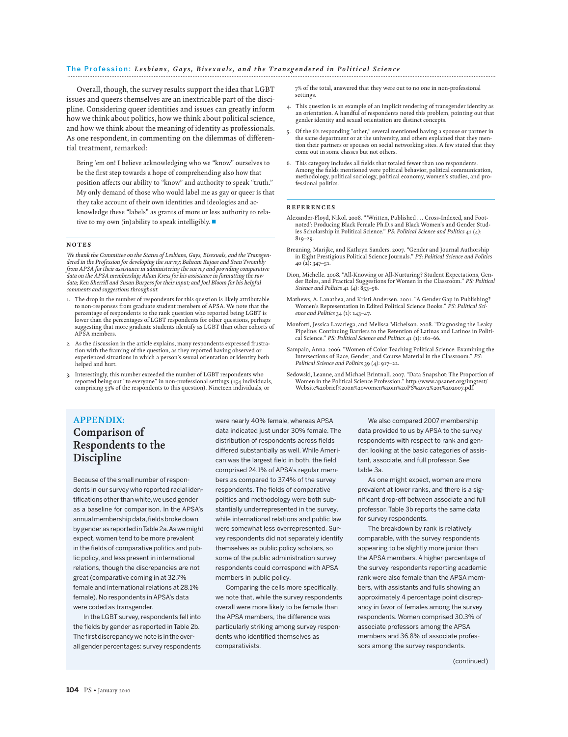Overall, though, the survey results support the idea that LGBT issues and queers themselves are an inextricable part of the discipline. Considering queer identities and issues can greatly inform how we think about politics, how we think about political science, and how we think about the meaning of identity as professionals. As one respondent, in commenting on the dilemmas of differential treatment, remarked:

Bring 'em on! I believe acknowledging who we "know" ourselves to be the first step towards a hope of comprehending also how that position affects our ability to "know" and authority to speak "truth." My only demand of those who would label me as gay or queer is that they take account of their own identities and ideologies and acknowledge these "labels" as grants of more or less authority to relative to my own (in)ability to speak intelligibly.  $\blacksquare$ 

#### NOTES

*We thank the Committee on the Status of Lesbians, Gays, Bisexuals, and the Transgendered in the Profession for developing the survey; Bahram Rajaee and Sean Twombly from APSA for their assistance in administering the survey and providing comparative data on the APSA membership; Adam Kress for his assistance in formatting the raw data; Ken Sherrill and Susan Burgess for their input; and Joel Bloom for his helpful comments and suggestions throughout.*

- 1. The drop in the number of respondents for this question is likely attributable to non-responses from graduate student members of APSA. We note that the percentage of respondents to the rank question who reported being LGBT is lower than the percentages of LGBT respondents for other questions, perhaps suggesting that more graduate students identify as LGBT than other cohorts of APSA members.
- 2. As the discussion in the article explains, many respondents expressed frustration with the framing of the question, as they reported having observed or experienced situations in which a person's sexual orientation or identity both helped and hurt.
- 3. Interestingly, this number exceeded the number of LGBT respondents who reported being out "to everyone" in non-professional settings (154 individuals, comprising 53% of the respondents to this question). Nineteen individuals, or

7% of the total, answered that they were out to no one in non-professional settings.

- 4. This question is an example of an implicit rendering of transgender identity as an orientation. A handful of respondents noted this problem, pointing out that gender identity and sexual orientation are distinct concepts.
- 5. Of the 6% responding "other," several mentioned having a spouse or partner in the same department or at the university, and others explained that they mention their partners or spouses on social networking sites. A few stated that they come out in some classes but not others.
- 6. This category includes all fields that totaled fewer than 100 respondents. Among the fields mentioned were political behavior, political communication, methodology, political sociology, political economy, women's studies, and pro-fessional politics.

#### **REFERENCES**

- Alexander-Floyd, Nikol. 2008. "'Written, Published . . . Cross-Indexed, and Foot-noted': Producing Black Female Ph.D.s and Black Women's and Gender Studies Scholarship in Political Science." *PS: Political Science and Politics* 41 (4): 819–29.
- Breuning, Marijke, and Kathryn Sanders. 2007. "Gender and Journal Authorship in Eight Prestigious Political Science Journals." *PS: Political Science and Politics* 40 (2): 347–51.
- Dion, Michelle. 2008. "All-Knowing or All-Nurturing? Student Expectations, Gender Roles, and Practical Suggestions for Women in the Classroom." *PS: Political Science and Politics* 41 (4): 853–56.
- Mathews, A. Lanathea, and Kristi Andersen. 2001. "A Gender Gap in Publishing? Women's Representation in Edited Political Science Books." *PS: Political Science and Politics* 34 (1): 143–47.
- Monforti, Jessica Lavariega, and Melissa Michelson. 2008. "Diagnosing the Leaky Pipeline: Continuing Barriers to the Retention of Latinas and Latinos in Political Science." *PS: Political Science and Politics* 41 (1): 161–66.
- Sampaio, Anna. 2006. "Women of Color Teaching Political Science: Examining the Intersections of Race, Gender, and Course Material in the Classroom." *PS: Political Science and Politics* 39 (4): 917–22.
- Sedowski, Leanne, and Michael Brintnall. 2007. "Data Snapshot: The Proportion of Women in the Political Science Profession." http://www.apsanet.org/imgtest/ Website%20brief%20on%20women%20in%20PS%20v2%201%202007.pdf.

# **APPENDIX: Comparison of Respondents to the Discipline**

Because of the small number of respondents in our survey who reported racial identifications other than white, we used gender as a baseline for comparison. In the APSA's annual membership data, fields broke down by gender as reported inTable 2a.As wemight expect, women tend to be more prevalent in the fields of comparative politics and public policy, and less present in international relations, though the discrepancies are not great (comparative coming in at 32.7% female and international relations at 28.1% female). No respondents in APSA's data were coded as transgender.

In the LGBT survey, respondents fell into the fields by gender as reported in Table 2b. The first discrepancy we note is in the overall gender percentages: survey respondents

were nearly 40% female, whereas APSA data indicated just under 30% female. The distribution of respondents across fields differed substantially as well. While American was the largest field in both, the field comprised 24.1% of APSA's regular members as compared to 37.4% of the survey respondents. The fields of comparative politics and methodology were both substantially underrepresented in the survey, while international relations and public law were somewhat less overrepresented. Survey respondents did not separately identify themselves as public policy scholars, so some of the public administration survey respondents could correspond with APSA members in public policy.

Comparing the cells more specifically, we note that, while the survey respondents overall were more likely to be female than the APSA members, the difference was particularly striking among survey respondents who identified themselves as comparativists.

We also compared 2007 membership data provided to us by APSA to the survey respondents with respect to rank and gender, looking at the basic categories of assistant, associate, and full professor. See table 3a.

As one might expect, women are more prevalent at lower ranks, and there is a significant drop-off between associate and full professor. Table 3b reports the same data for survey respondents.

The breakdown by rank is relatively comparable, with the survey respondents appearing to be slightly more junior than the APSA members. A higher percentage of the survey respondents reporting academic rank were also female than the APSA members, with assistants and fulls showing an approximately 4 percentage point discrepancy in favor of females among the survey respondents. Women comprised 30.3% of associate professors among the APSA members and 36.8% of associate professors among the survey respondents.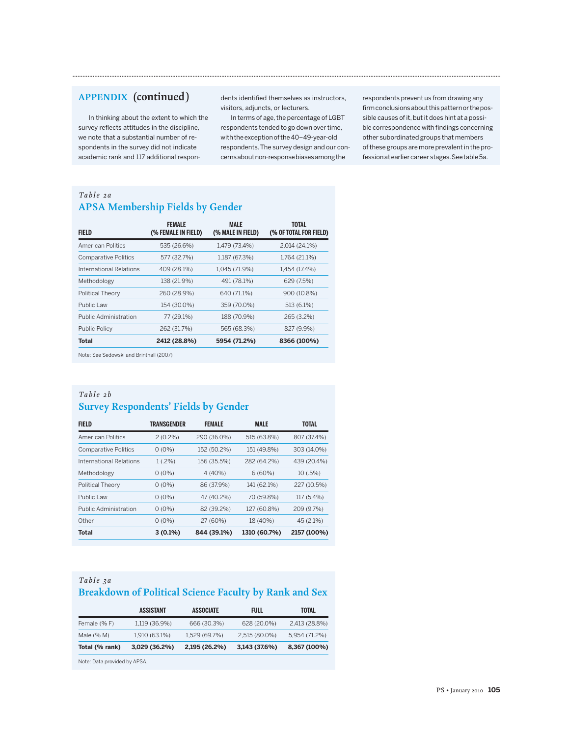# **APPENDIX (continued )**

In thinking about the extent to which the survey reflects attitudes in the discipline, we note that a substantial number of respondents in the survey did not indicate academic rank and 117 additional respondents identified themselves as instructors, visitors, adjuncts, or lecturers.

**.............................................................................................................................................................................................................................................................**

In terms of age, the percentage of LGBT respondents tended to go down over time, with the exception of the40–49-year-old respondents.The survey design and our concernsaboutnon-responsebiasesamong the

respondents prevent us from drawing any firm conclusions about this pattern or the possible causes of it, but it does hint at a possible correspondence with findings concerning other subordinated groups that members of these groups are more prevalent in the profession at earlier career stages.See table5a.

#### *Table 2a* **APSA Membership Fields by Gender**

| FIELD                        | <b>FEMALE</b><br>(% FEMALE IN FIELD) | <b>MALE</b><br>(% MALE IN FIELD) | TOTAL<br>(% OF TOTAL FOR FIELD) |
|------------------------------|--------------------------------------|----------------------------------|---------------------------------|
| American Politics            | 535 (26.6%)                          | 1,479 (73.4%)                    | 2,014 (24.1%)                   |
| <b>Comparative Politics</b>  | 577 (32.7%)                          | 1,187 (67.3%)                    | 1,764 (21.1%)                   |
| International Relations      | 409 (28.1%)                          | 1,045 (71.9%)                    | 1,454 (17.4%)                   |
| Methodology                  | 138 (21.9%)                          | 491 (78.1%)                      | 629 (7.5%)                      |
| <b>Political Theory</b>      | 260 (28.9%)                          | 640 (71.1%)                      | 900 (10.8%)                     |
| Public Law                   | 154 (30.0%)                          | 359 (70.0%)                      | 513 (6.1%)                      |
| <b>Public Administration</b> | 77 (29.1%)                           | 188 (70.9%)                      | 265 (3.2%)                      |
| <b>Public Policy</b>         | 262 (31.7%)                          | 565 (68.3%)                      | 827 (9.9%)                      |
| <b>Total</b>                 | 2412 (28.8%)                         | 5954 (71.2%)                     | 8366 (100%)                     |

Note: See Sedowski and Brintnall (2007)

## *Table 2b* **Survey Respondents' Fields by Gender**

| <b>FIELD</b>                 | TRANSGENDER | <b>FEMALE</b>              |              | <b>TOTAL</b> |  |
|------------------------------|-------------|----------------------------|--------------|--------------|--|
| American Politics            | $2(0.2\%)$  | 290 (36.0%)                | 515 (63.8%)  | 807 (37.4%)  |  |
| <b>Comparative Politics</b>  | $0(0\%)$    | 152 (50.2%)                | 151 (49.8%)  | 303 (14.0%)  |  |
| International Relations      | $1(.2\%)$   | 156 (35.5%)<br>282 (64.2%) |              | 439 (20.4%)  |  |
| Methodology                  | $0(0\%)$    | 4(40%)                     | 6(60%)       | 10(.5%)      |  |
| <b>Political Theory</b>      | $0(0\%)$    | 86 (37.9%)                 | 141 (62.1%)  | 227 (10.5%)  |  |
| Public Law                   | $0(0\%)$    | 47 (40.2%)                 | 70 (59.8%)   | 117 (5.4%)   |  |
| <b>Public Administration</b> | $0(0\%)$    | 82 (39.2%)                 | 127 (60.8%)  | 209 (9.7%)   |  |
| Other                        | $0(0\%)$    | 27 (60%)                   | 18 (40%)     | 45 (2.1%)    |  |
| <b>Total</b>                 | $3(0.1\%)$  | 844 (39.1%)                | 1310 (60.7%) | 2157 (100%)  |  |

# *Table 3a* **Breakdown of Political Science Faculty by Rank and Sex**

|                | ASSISTANT     | <b>ASSOCIATE</b> | <b>FULL</b>   | TOTAL         |
|----------------|---------------|------------------|---------------|---------------|
| Female (%F)    | 1,119 (36.9%) | 666 (30.3%)      | 628 (20.0%)   | 2,413 (28.8%) |
| Male $(\% M)$  | 1,910 (63.1%) | 1,529 (69.7%)    | 2,515 (80.0%) | 5,954 (71.2%) |
| Total (% rank) | 3,029 (36.2%) | 2,195 (26.2%)    | 3,143 (37.6%) | 8,367 (100%)  |
|                |               |                  |               |               |

Note: Data provided by APSA.